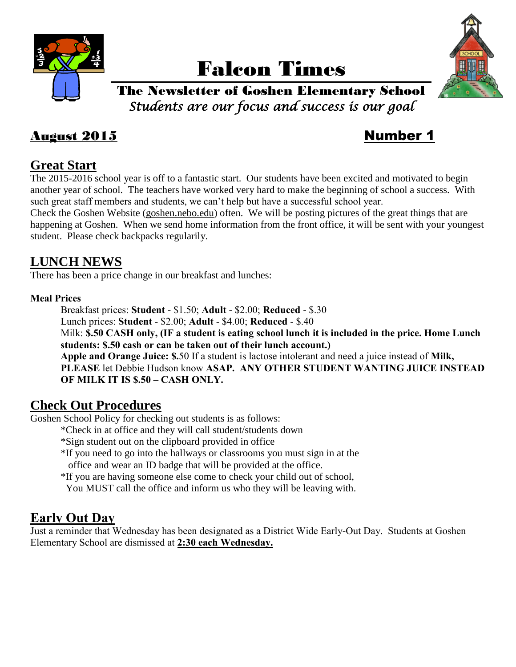

# Falcon Times



## The Newsletter of Goshen Elementary School *Students are our focus and success is our goal*

## August 2015 Number 1

## **Great Start**

The 2015-2016 school year is off to a fantastic start. Our students have been excited and motivated to begin another year of school. The teachers have worked very hard to make the beginning of school a success. With such great staff members and students, we can't help but have a successful school year.

Check the Goshen Website (goshen.nebo.edu) often. We will be posting pictures of the great things that are happening at Goshen. When we send home information from the front office, it will be sent with your youngest student. Please check backpacks regularily.

## **LUNCH NEWS**

There has been a price change in our breakfast and lunches:

#### **Meal Prices**

Breakfast prices: **Student** - \$1.50; **Adult** - \$2.00; **Reduced** - \$.30

Lunch prices: **Student** - \$2.00; **Adult** - \$4.00; **Reduced** - \$.40

Milk: **\$.50 CASH only, (IF a student is eating school lunch it is included in the price. Home Lunch students: \$.50 cash or can be taken out of their lunch account.)**

**Apple and Orange Juice: \$.**50 If a student is lactose intolerant and need a juice instead of **Milk, PLEASE** let Debbie Hudson know **ASAP. ANY OTHER STUDENT WANTING JUICE INSTEAD OF MILK IT IS \$.50 – CASH ONLY.**

## **Check Out Procedures**

Goshen School Policy for checking out students is as follows:

- \*Check in at office and they will call student/students down
- \*Sign student out on the clipboard provided in office
- \*If you need to go into the hallways or classrooms you must sign in at the office and wear an ID badge that will be provided at the office.
- \*If you are having someone else come to check your child out of school, You MUST call the office and inform us who they will be leaving with.

## **Early Out Day**

Just a reminder that Wednesday has been designated as a District Wide Early-Out Day. Students at Goshen Elementary School are dismissed at **2:30 each Wednesday.**